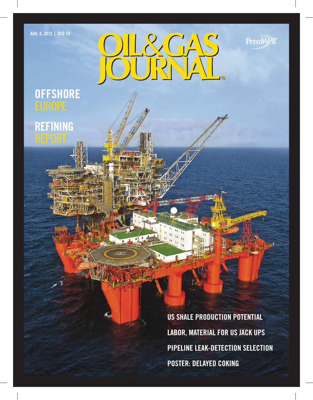Aug. 6, 2012 **|** USD 10

PennWell®



# **OFFSHORE**

**REFINING** 

US SHALE PRODUCTION POTENTIAL LABOR, MATERIAL FOR US JACK UPS PIPELINE LEAK-DETECTION SELECTION POSTER: DELAYED COKING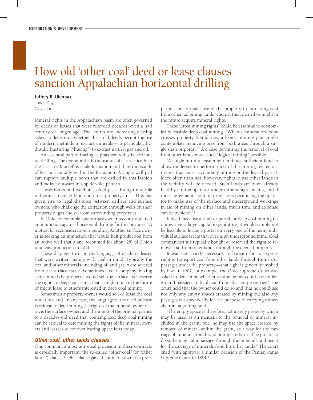# How old 'other coal' deed or lease clauses sanction Appalachian horizontal drilling

#### **Jeffery D. Ubersax**

Jones Day Cleveland

Mineral rights in the Appalachian basin are often governed by deeds or leases that were recorded decades, even a half century or longer ago. The courts are increasingly being asked to determine whether these old deeds permit the use of modern methods to extract minerals—in particular, hydraulic fracturing ("fracing") to extract natural gas and oil.

An essential part of fracing as practiced today is horizontal drilling. The operator drills thousands of feet vertically to the Utica or Marcellus shale formation and then thousands of feet horizontally within the formation. A single well pad can support multiple bores that are drilled in this fashion and radiate outward in a spider-like pattern.

These horizontal wellbores often pass through multiple individual tracts of land and cross property lines. This has given rise to legal disputes between drillers and surface owners, who challenge the extraction through wells on their property of gas and oil from surrounding properties.

In Ohio, for example, one surface owner recently obtained an injunction against horizontal drilling for this purpose.<sup>1</sup> A motion for reconsideration is pending. Another surface owner is seeking an injunction that would halt production from an active well that alone accounted for about 2% of Ohio's total gas production in 2011.

These disputes turn on the language of deeds or leases that were written mainly with coal in mind. Typically the coal and other minerals, including oil and gas, were severed from the surface estate. Sometimes a coal company, having strip-mined the property, would sell the surface and reserve the rights to deep coal seams that it might mine in the future or might lease to others interested in deep coal mining.

Sometimes a property owner would sell or lease the coal under his land. In any case, the language of the deed or lease is critical to determining the rights of the mineral owner visa-vis the surface owner; and the intent of the original parties to a decades-old deed that contemplated deep coal mining can be critical to determining the rights of the mineral owners and lessees to conduct fracing operations today.

### *Other coal, other lands clauses*

One common, almost universal provision in these contracts is especially important: the so-called "other coal" (or "other lands") clause. Such a clause gave the mineral owner express

permission to make use of the property in extracting coal from other, adjoining lands where it then owned or might in the future acquire mineral rights.

These "cross mining rights" could be essential to economically feasible deep coal mining. "When a mineralized zone crosses property boundaries, a logical mining plan might contemplate removing ores from both areas through a single shaft or portal."2 A clause permitting the removal of coal from other lands made such "logical mining" possible.

"A single mining lease might embrace sufficient land to allow the lessee to perform most of the mining related activities that must accompany mining on the leased parcel. More often than not, however, rights to use other lands in the vicinity will be needed. Such lands are often already held by a mine operator under mineral agreements, and if those agreements contain provisions permitting the operator to make use of the surface and underground workings in aid of mining on other lands, much time and expense can be avoided."

Indeed, because a shaft or portal for deep coal mining requires a very large capital expenditure, it would simply not be feasible to locate a portal on every one of the many individual surface tracts that overlie an underground mine. Coal companies thus typically bought or reserved the right to remove coal from other lands through the deeded property.

It was not strictly necessary to bargain for an express right to transport coal from other lands through tunnels or passages under the property—that right is generally implied by law. In 1907, for example, the Ohio Supreme Court was asked to determine whether a mine owner could use underground passages to haul coal from adjacent properties.<sup>4</sup> The court held that the owner could do so and that he could use not only any empty spaces created by mining but also any passages cut specifically for the purpose of carrying minerals from adjoining lands:

"The empty space is therefore, not merely property which may be used as an incident to the removal of mineral included in the grant, but...he may use the space created by removal of mineral within the grant, as a way for the carriage of minerals from his adjoining lands, or, if he prefers to do so he may cut a passage through the minerals and use it for the carriage of minerals from his other lands." The court cited with approval a similar decision of the Pennsylvania Supreme Court in 1891.<sup>5</sup>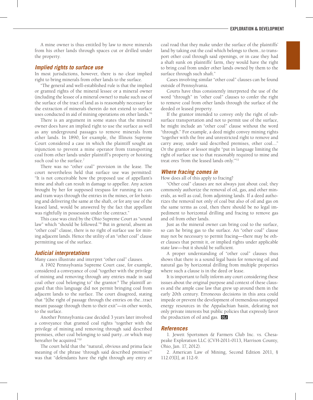A mine owner is thus entitled by law to move minerals from his other lands through spaces cut or drilled under the property.

## *Implied rights to surface use*

In most jurisdictions, however, there is no clear implied right to bring minerals from other lands to the surface.

"The general and well-established rule is that the implied or granted rights of the mineral lessee or a mineral owner (including the lessee of a mineral owner) to make such use of the surface of the tract of land as is reasonably necessary for the extraction of minerals therein do not extend to surface uses conducted in aid of mining operations on other lands."6

There is an argument in some states that the mineral owner does have an implied right to use the surface as well as any underground passages to remove minerals from other lands. In 1890, for example, the Illinois Supreme Court considered a case in which the plaintiff sought an injunction to prevent a mine operator from transporting coal from other lands under plaintiff's property or hoisting such coal to the surface.<sup>7</sup>

There was no "other coal" provision in the lease. The court nevertheless held that surface use was permitted: "It is not conceivable how the proposed use of appellant's mine and shaft can result in damage to appellee. Any action brought by her for supposed trespass for running its cars and tram ways through the entries in the mines, or for hoisting and delivering the same at the shaft, or for any use of the leased land, would be answered by the fact that appellant was rightfully in possession under the contract."

This case was cited by the Ohio Supreme Court as "sound law" which "should be followed."8 But in general, absent an "other coal" clause, there is no right of surface use for mining adjacent lands. Hence the utility of an "other coal" clause permitting use of the surface.

#### *Judicial interpretations*

Many cases illustrate and interpret "other coal" clauses.

A 1902 Pennsylvania Supreme Court case, for example, considered a conveyance of coal "together with the privilege of mining and removing through any entries made in said coal other coal belonging to" the grantor.<sup>9</sup> The plaintiff argued that this language did not permit bringing coal from adjacent lands to the surface. The court disagreed, stating that "[t]he right of passage through the entries on the...tract meant passage through them to their exit"—in other words, to the surface.

Another Pennsylvania case decided 3 years later involved a conveyance that granted coal rights "together with the privilege of mining and removing through said described premises, other coal belonging to said party...or which may hereafter be acquired."10

The court held that the "natural, obvious and prima facie meaning of the phrase 'through said described premises'" was that "defendants have the right through any entry or

coal road that they make under the surface of the plaintiffs' land by taking out the coal which belongs to them...to transport other coal through said openings, or in case they had a shaft sunk on plaintiffs' farm, they would have the right to bring coal from under other lands owned by them to the surface through such shaft."

Cases involving similar "other coal" clauses can be found outside of Pennsylvania.

Courts have thus consistently interpreted the use of the word "through" in "other coal" clauses to confer the right to remove coal from other lands through the surface of the deeded or leased property.

If the grantor intended to convey only the right of subsurface transportation and not to permit use of the surface, he might include an "other coal" clause without the word "through." For example, a deed might convey mining rights "together with the free and unrestricted right to remove and carry away, under said described premises, other coal...." Or the grantor or lessor might "put in language limiting the right of surface use to that reasonably required to mine and treat ores 'from the leased lands only.'"11

#### *Where fracing comes in*

How does all of this apply to fracing?

"Other coal" clauses are not always just about coal; they commonly authorize the removal of oil, gas, and other minerals, as well as coal, from adjoining lands. If a deed authorizes the removal not only of coal but also of oil and gas on the same terms as coal, then there should be no legal impediment to horizontal drilling and fracing to remove gas and oil from other lands.

Just as the mineral owner can bring coal to the surface, so can he bring gas to the surface. An "other coal" clause may not be necessary to permit fracing—there may be other clauses that permit it, or implied rights under applicable state law—but it should be sufficient.

A proper understanding of "other coal" clauses thus shows that there is a sound legal basis for removing oil and natural gas by horizontal drilling from multiple properties where such a clause is in the deed or lease.

It is important to fully inform any court considering these issues about the original purpose and context of these clauses and the ample case law that grew up around them in the early 20th century. Erroneous decisions in this area could impede or prevent the development of tremendous untapped energy resources in the Appalachian basin, defeating not only private interests but public policies that expressly favor the production of oil and gas. On

#### *References*

1. Jewett Sportsmen & Farmers Club Inc. vs. Chesapeake Exploration LLC (CVH-2011-0113, Harrison County, Ohio, Jan. 17, 2012).

2. American Law of Mining, Second Edition 2011, § 112.03[1], at 112-9.